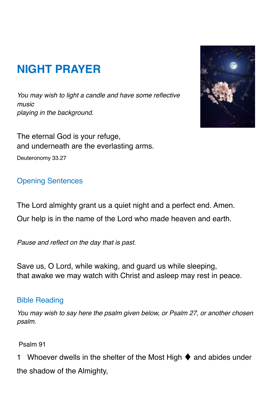# **NIGHT PRAYER**

*You may wish to light a candle and have some reflective music playing in the background.* 

The eternal God is your refuge, and underneath are the everlasting arms.

Deuteronomy 33.27

## Opening Sentences

The Lord almighty grant us a quiet night and a perfect end. Amen. Our help is in the name of the Lord who made heaven and earth.

*Pause and reflect on the day that is past.* 

Save us, O Lord, while waking, and guard us while sleeping, that awake we may watch with Christ and asleep may rest in peace.

#### Bible Reading

*You may wish to say here the psalm given below, or Psalm 27, or another chosen psalm.* 

Psalm 91

1 Whoever dwells in the shelter of the Most High  $\blacklozenge$  and abides under the shadow of the Almighty,

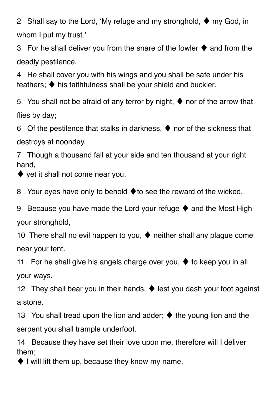2 Shall say to the Lord, 'My refuge and my stronghold,  $\blacklozenge$  my God, in whom I put my trust.'

3 For he shall deliver you from the snare of the fowler  $\blacklozenge$  and from the deadly pestilence.

4 He shall cover you with his wings and you shall be safe under his feathers; ♦ his faithfulness shall be your shield and buckler.

5 You shall not be afraid of any terror by night,  $\blacklozenge$  nor of the arrow that flies by day;

6 Of the pestilence that stalks in darkness,  $\blacklozenge$  nor of the sickness that destroys at noonday.

7 Though a thousand fall at your side and ten thousand at your right hand,

 $\blacklozenge$  yet it shall not come near you.

8 Your eyes have only to behold ♦to see the reward of the wicked.

9 Because you have made the Lord your refuge  $\blacklozenge$  and the Most High your stronghold,

10 There shall no evil happen to you,  $\blacklozenge$  neither shall any plague come near your tent.

11 For he shall give his angels charge over you,  $\blacklozenge$  to keep you in all your ways.

12 They shall bear you in their hands, ♦ lest you dash your foot against a stone.

13 You shall tread upon the lion and adder; ♦ the young lion and the serpent you shall trample underfoot.

14 Because they have set their love upon me, therefore will I deliver them;

 $\blacklozenge$  I will lift them up, because they know my name.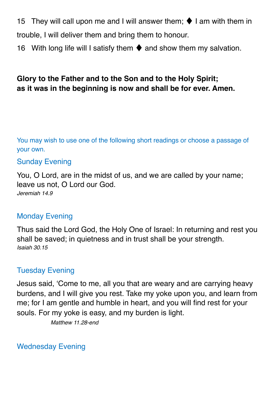15 They will call upon me and I will answer them;  $\blacklozenge$  I am with them in trouble, I will deliver them and bring them to honour. 16 With long life will I satisfy them  $\blacklozenge$  and show them my salvation.

## **Glory to the Father and to the Son and to the Holy Spirit; as it was in the beginning is now and shall be for ever. Amen.**

You may wish to use one of the following short readings or choose a passage of your own.

#### Sunday Evening

You, O Lord, are in the midst of us, and we are called by your name; leave us not, O Lord our God. *Jeremiah 14.9*

#### Monday Evening

Thus said the Lord God, the Holy One of Israel: In returning and rest you shall be saved; in quietness and in trust shall be your strength. *Isaiah 30.15*

#### Tuesday Evening

Jesus said, 'Come to me, all you that are weary and are carrying heavy burdens, and I will give you rest. Take my yoke upon you, and learn from me; for I am gentle and humble in heart, and you will find rest for your souls. For my yoke is easy, and my burden is light.

*Matthew 11.28-end*

Wednesday Evening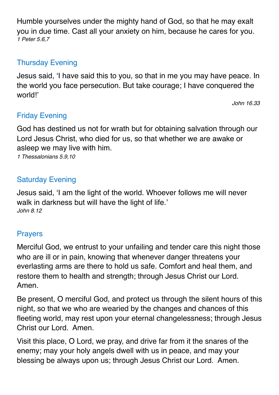Humble yourselves under the mighty hand of God, so that he may exalt you in due time. Cast all your anxiety on him, because he cares for you. *1 Peter 5.6,7*

## Thursday Evening

Jesus said, 'I have said this to you, so that in me you may have peace. In the world you face persecution. But take courage; I have conquered the world!'

 *John 16.33* 

# Friday Evening

God has destined us not for wrath but for obtaining salvation through our Lord Jesus Christ, who died for us, so that whether we are awake or asleep we may live with him.

*1 Thessalonians 5.9,10*

## Saturday Evening

Jesus said, 'I am the light of the world. Whoever follows me will never walk in darkness but will have the light of life.' *John 8.12*

## **Prayers**

Merciful God, we entrust to your unfailing and tender care this night those who are ill or in pain, knowing that whenever danger threatens your everlasting arms are there to hold us safe. Comfort and heal them, and restore them to health and strength; through Jesus Christ our Lord. Amen.

Be present, O merciful God, and protect us through the silent hours of this night, so that we who are wearied by the changes and chances of this fleeting world, may rest upon your eternal changelessness; through Jesus Christ our Lord. Amen.

Visit this place, O Lord, we pray, and drive far from it the snares of the enemy; may your holy angels dwell with us in peace, and may your blessing be always upon us; through Jesus Christ our Lord. Amen.